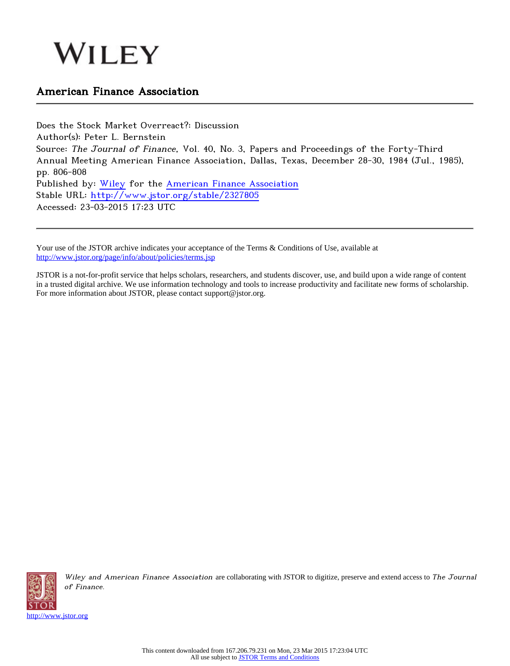# WILEY

# American Finance Association

Does the Stock Market Overreact?: Discussion Author(s): Peter L. Bernstein Source: The Journal of Finance, Vol. 40, No. 3, Papers and Proceedings of the Forty-Third Annual Meeting American Finance Association, Dallas, Texas, December 28-30, 1984 (Jul., 1985), pp. 806-808 Published by: [Wiley](http://www.jstor.org/action/showPublisher?publisherCode=black) for the [American Finance Association](http://www.jstor.org/action/showPublisher?publisherCode=afina) Stable URL: <http://www.jstor.org/stable/2327805> Accessed: 23-03-2015 17:23 UTC

Your use of the JSTOR archive indicates your acceptance of the Terms & Conditions of Use, available at <http://www.jstor.org/page/info/about/policies/terms.jsp>

JSTOR is a not-for-profit service that helps scholars, researchers, and students discover, use, and build upon a wide range of content in a trusted digital archive. We use information technology and tools to increase productivity and facilitate new forms of scholarship. For more information about JSTOR, please contact support@jstor.org.



Wiley and American Finance Association are collaborating with JSTOR to digitize, preserve and extend access to The Journal of Finance.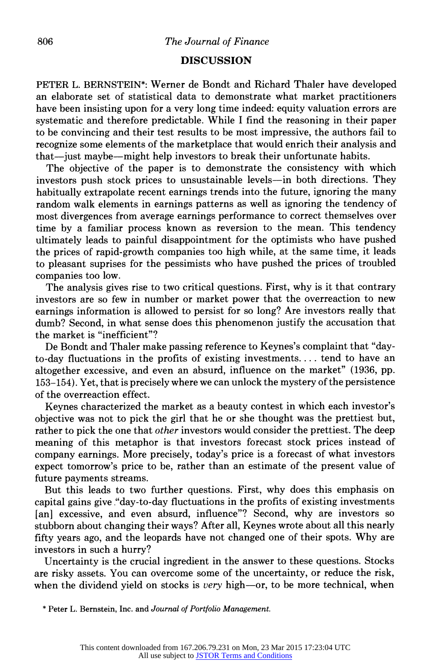## **DISCUSSION**

**PETER L. BERNSTEIN\*: Werner de Bondt and Richard Thaler have developed an elaborate set of statistical data to demonstrate what market practitioners have been insisting upon for a very long time indeed: equity valuation errors are systematic and therefore predictable. While I find the reasoning in their paper to be convincing and their test results to be most impressive, the authors fail to recognize some elements of the marketplace that would enrich their analysis and**  that—just maybe—might help investors to break their unfortunate habits.

**The objective of the paper is to demonstrate the consistency with which investors push stock prices to unsustainable levels-in both directions. They habitually extrapolate recent earnings trends into the future, ignoring the many random walk elements in earnings patterns as well as ignoring the tendency of most divergences from average earnings performance to correct themselves over time by a familiar process known as reversion to the mean. This tendency ultimately leads to painful disappointment for the optimists who have pushed the prices of rapid-growth companies too high while, at the same time, it leads to pleasant suprises for the pessimists who have pushed the prices of troubled companies too low.** 

**The analysis gives rise to two critical questions. First, why is it that contrary investors are so few in number or market power that the overreaction to new earnings information is allowed to persist for so long? Are investors really that dumb? Second, in what sense does this phenomenon justify the accusation that the market is "inefficient"?** 

**De Bondt and Thaler make passing reference to Keynes's complaint that "dayto-day fluctuations in the profits of existing investments.... tend to have an altogether excessive, and even an absurd, influence on the market" (1936, pp. 153-154). Yet, that is precisely where we can unlock the mystery of the persistence of the overreaction effect.** 

**Keynes characterized the market as a beauty contest in which each investor's objective was not to pick the girl that he or she thought was the prettiest but, rather to pick the one that other investors would consider the prettiest. The deep meaning of this metaphor is that investors forecast stock prices instead of company earnings. More precisely, today's price is a forecast of what investors expect tomorrow's price to be, rather than an estimate of the present value of future payments streams.** 

**But this leads to two further questions. First, why does this emphasis on capital gains give."day-to-day fluctuations in the profits of existing investments [an] excessive, and even absurd, influence"? Second, why are investors so stubborn about changing their ways? After all, Keynes wrote about all this nearly fifty years ago, and the leopards have not changed one of their spots. Why are investors in such a hurry?** 

**Uncertainty is the crucial ingredient in the answer to these questions. Stocks are risky assets. You can overcome some of the uncertainty, or reduce the risk,**  when the dividend yield on stocks is *very* high—or, to be more technical, when

**\* Peter L. Bernstein, Inc. and Journal of Portfolio Management.**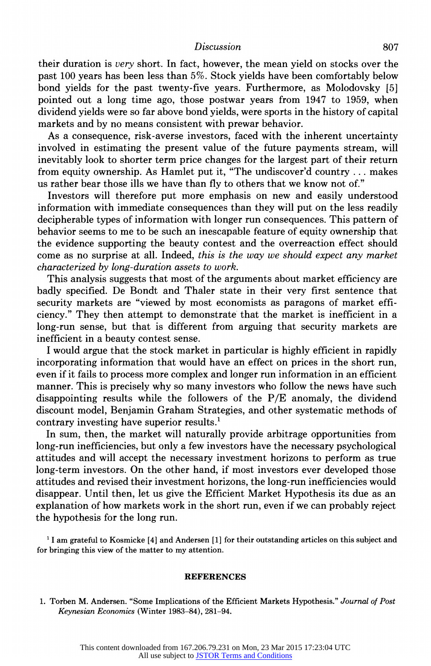### Discussion 807

**their duration is very short. In fact, however, the mean yield on stocks over the past 100 years has been less than 5%. Stock yields have been comfortably below bond yields for the past twenty-five years. Furthermore, as Molodovsky [5] pointed out a long time ago, those postwar years from 1947 to 1959, when dividend yields were so far above bond yields, were sports in the history of capital markets and by no means consistent with prewar behavior.** 

**As a consequence, risk-averse investors, faced with the inherent uncertainty involved in estimating the present value of the future payments stream, will inevitably look to shorter term price changes for the largest part of their return from equity ownership. As Hamlet put it, "The undiscover'd country ... makes us rather bear those ills we have than fly to others that we know not of."** 

**Investors will therefore put more emphasis on new and easily understood information with immediate consequences than they will put on the less readily decipherable types of information with longer run consequences. This pattern of behavior seems to me to be such an inescapable feature of equity ownership that the evidence supporting the beauty contest and the overreaction effect should come as no surprise at all. Indeed, this is the way we should expect any market characterized by long-duration assets to work.** 

**This analysis suggests that most of the arguments about market efficiency are badly specified. De Bondt and Thaler state in their very first sentence that security markets are "viewed by most economists as paragons of market efficiency." They then attempt to demonstrate that the market is inefficient in a long-run sense, but that is different from arguing that security markets are inefficient in a beauty contest sense.** 

**I would argue that the stock market in particular is highly efficient in rapidly incorporating information that would have an effect on prices in the short run, even if it fails to process more complex and longer run information in an efficient manner. This is precisely why so many investors who follow the news have such disappointing results while the followers of the P/E anomaly, the dividend discount model, Benjamin Graham Strategies, and other systematic methods of contrary investing have superior results.'** 

**In sum, then, the market will naturally provide arbitrage opportunities from long-run inefficiencies, but only a few investors have the necessary psychological attitudes and will accept the necessary investment horizons to perform as true long-term investors. On the other hand, if most investors ever developed those attitudes and revised their investment horizons, the long-run inefficiencies would disappear. Until then, let us give the Efficient Market Hypothesis its due as an explanation of how markets work in the short run, even if we can probably reject the hypothesis for the long run.** 

**1 I am grateful to Kosmicke [4] and Andersen [1] for their outstanding articles on this subject and for bringing this view of the matter to my attention.** 

#### **REFERENCES**

**1. Torben M. Andersen. "Some Implications of the Efficient Markets Hypothesis." Journal of Post Keynesian Economics (Winter 1983-84), 281-94.**